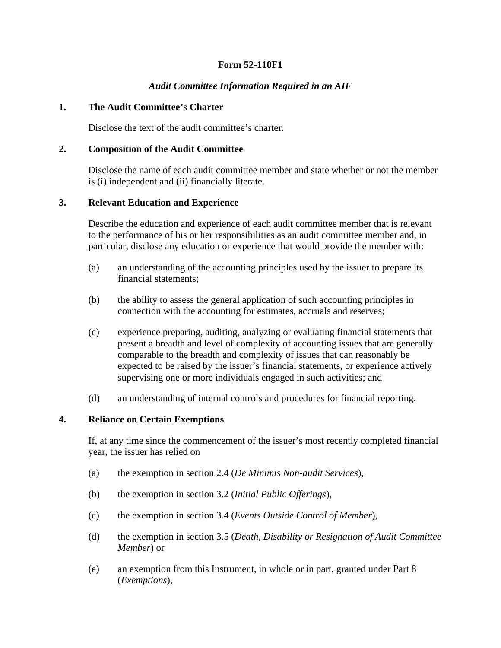# **Form 52-110F1**

### *Audit Committee Information Required in an AIF*

#### **1. The Audit Committee's Charter**

Disclose the text of the audit committee's charter.

### **2. Composition of the Audit Committee**

Disclose the name of each audit committee member and state whether or not the member is (i) independent and (ii) financially literate.

### **3. Relevant Education and Experience**

Describe the education and experience of each audit committee member that is relevant to the performance of his or her responsibilities as an audit committee member and, in particular, disclose any education or experience that would provide the member with:

- (a) an understanding of the accounting principles used by the issuer to prepare its financial statements;
- (b) the ability to assess the general application of such accounting principles in connection with the accounting for estimates, accruals and reserves;
- (c) experience preparing, auditing, analyzing or evaluating financial statements that present a breadth and level of complexity of accounting issues that are generally comparable to the breadth and complexity of issues that can reasonably be expected to be raised by the issuer's financial statements, or experience actively supervising one or more individuals engaged in such activities; and
- (d) an understanding of internal controls and procedures for financial reporting.

#### **4. Reliance on Certain Exemptions**

If, at any time since the commencement of the issuer's most recently completed financial year, the issuer has relied on

- (a) the exemption in section 2.4 (*De Minimis Non-audit Services*),
- (b) the exemption in section 3.2 (*Initial Public Offerings*),
- (c) the exemption in section 3.4 (*Events Outside Control of Member*),
- (d) the exemption in section 3.5 (*Death, Disability or Resignation of Audit Committee Member*) or
- (e) an exemption from this Instrument, in whole or in part, granted under Part 8 (*Exemptions*),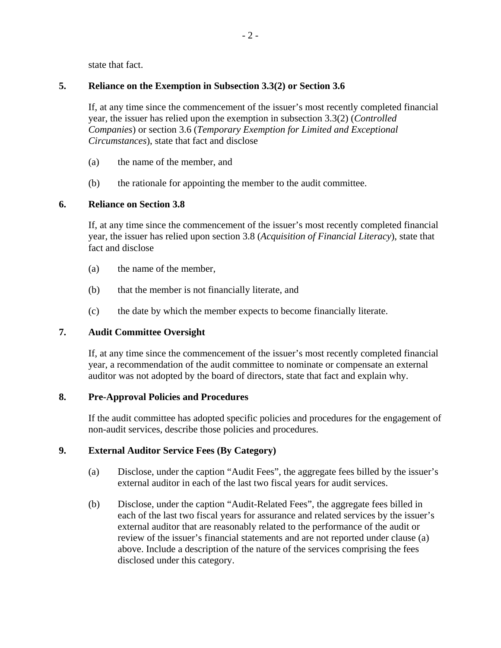state that fact.

# **5. Reliance on the Exemption in Subsection 3.3(2) or Section 3.6**

If, at any time since the commencement of the issuer's most recently completed financial year, the issuer has relied upon the exemption in subsection 3.3(2) (*Controlled Companies*) or section 3.6 (*Temporary Exemption for Limited and Exceptional Circumstances*), state that fact and disclose

- (a) the name of the member, and
- (b) the rationale for appointing the member to the audit committee.

# **6. Reliance on Section 3.8**

If, at any time since the commencement of the issuer's most recently completed financial year, the issuer has relied upon section 3.8 (*Acquisition of Financial Literacy*), state that fact and disclose

- (a) the name of the member,
- (b) that the member is not financially literate, and
- (c) the date by which the member expects to become financially literate.

# **7. Audit Committee Oversight**

If, at any time since the commencement of the issuer's most recently completed financial year, a recommendation of the audit committee to nominate or compensate an external auditor was not adopted by the board of directors, state that fact and explain why.

### **8. Pre-Approval Policies and Procedures**

If the audit committee has adopted specific policies and procedures for the engagement of non-audit services, describe those policies and procedures.

### **9. External Auditor Service Fees (By Category)**

- (a) Disclose, under the caption "Audit Fees", the aggregate fees billed by the issuer's external auditor in each of the last two fiscal years for audit services.
- (b) Disclose, under the caption "Audit-Related Fees", the aggregate fees billed in each of the last two fiscal years for assurance and related services by the issuer's external auditor that are reasonably related to the performance of the audit or review of the issuer's financial statements and are not reported under clause (a) above. Include a description of the nature of the services comprising the fees disclosed under this category.